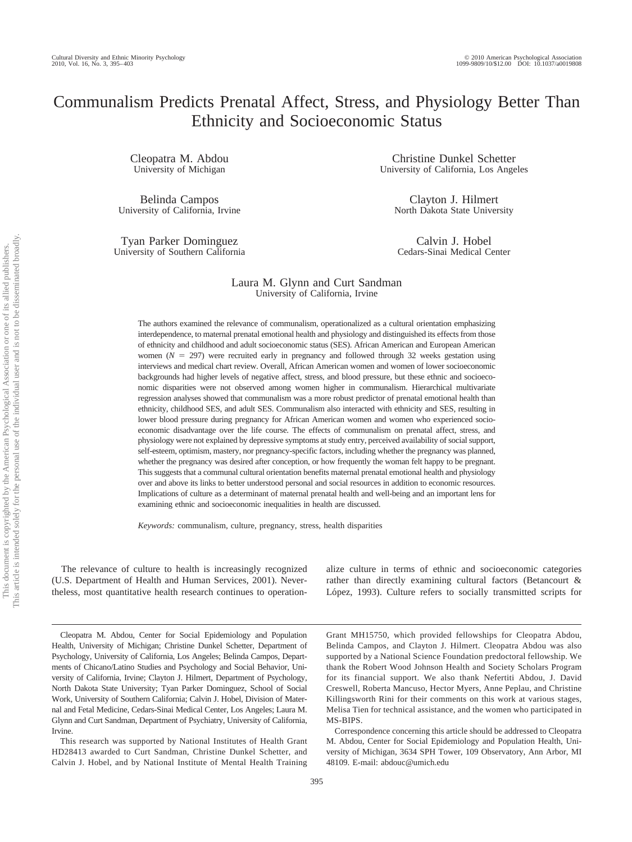# Communalism Predicts Prenatal Affect, Stress, and Physiology Better Than Ethnicity and Socioeconomic Status

Cleopatra M. Abdou University of Michigan

Belinda Campos University of California, Irvine

Tyan Parker Dominguez University of Southern California

Christine Dunkel Schetter University of California, Los Angeles

Clayton J. Hilmert North Dakota State University

Calvin J. Hobel Cedars-Sinai Medical Center

## Laura M. Glynn and Curt Sandman University of California, Irvine

The authors examined the relevance of communalism, operationalized as a cultural orientation emphasizing interdependence, to maternal prenatal emotional health and physiology and distinguished its effects from those of ethnicity and childhood and adult socioeconomic status (SES). African American and European American women  $(N = 297)$  were recruited early in pregnancy and followed through 32 weeks gestation using interviews and medical chart review. Overall, African American women and women of lower socioeconomic backgrounds had higher levels of negative affect, stress, and blood pressure, but these ethnic and socioeconomic disparities were not observed among women higher in communalism. Hierarchical multivariate regression analyses showed that communalism was a more robust predictor of prenatal emotional health than ethnicity, childhood SES, and adult SES. Communalism also interacted with ethnicity and SES, resulting in lower blood pressure during pregnancy for African American women and women who experienced socioeconomic disadvantage over the life course. The effects of communalism on prenatal affect, stress, and physiology were not explained by depressive symptoms at study entry, perceived availability of social support, self-esteem, optimism, mastery, nor pregnancy-specific factors, including whether the pregnancy was planned, whether the pregnancy was desired after conception, or how frequently the woman felt happy to be pregnant. This suggests that a communal cultural orientation benefits maternal prenatal emotional health and physiology over and above its links to better understood personal and social resources in addition to economic resources. Implications of culture as a determinant of maternal prenatal health and well-being and an important lens for examining ethnic and socioeconomic inequalities in health are discussed.

*Keywords:* communalism, culture, pregnancy, stress, health disparities

The relevance of culture to health is increasingly recognized (U.S. Department of Health and Human Services, 2001). Nevertheless, most quantitative health research continues to operation-

395

alize culture in terms of ethnic and socioeconomic categories rather than directly examining cultural factors (Betancourt & López, 1993). Culture refers to socially transmitted scripts for

Grant MH15750, which provided fellowships for Cleopatra Abdou, Belinda Campos, and Clayton J. Hilmert. Cleopatra Abdou was also supported by a National Science Foundation predoctoral fellowship. We thank the Robert Wood Johnson Health and Society Scholars Program for its financial support. We also thank Nefertiti Abdou, J. David Creswell, Roberta Mancuso, Hector Myers, Anne Peplau, and Christine Killingsworth Rini for their comments on this work at various stages, Melisa Tien for technical assistance, and the women who participated in MS-BIPS.

Correspondence concerning this article should be addressed to Cleopatra M. Abdou, Center for Social Epidemiology and Population Health, University of Michigan, 3634 SPH Tower, 109 Observatory, Ann Arbor, MI 48109. E-mail: abdouc@umich.edu

Cleopatra M. Abdou, Center for Social Epidemiology and Population Health, University of Michigan; Christine Dunkel Schetter, Department of Psychology, University of California, Los Angeles; Belinda Campos, Departments of Chicano/Latino Studies and Psychology and Social Behavior, University of California, Irvine; Clayton J. Hilmert, Department of Psychology, North Dakota State University; Tyan Parker Dominguez, School of Social Work, University of Southern California; Calvin J. Hobel, Division of Maternal and Fetal Medicine, Cedars-Sinai Medical Center, Los Angeles; Laura M. Glynn and Curt Sandman, Department of Psychiatry, University of California, Irvine.

This research was supported by National Institutes of Health Grant HD28413 awarded to Curt Sandman, Christine Dunkel Schetter, and Calvin J. Hobel, and by National Institute of Mental Health Training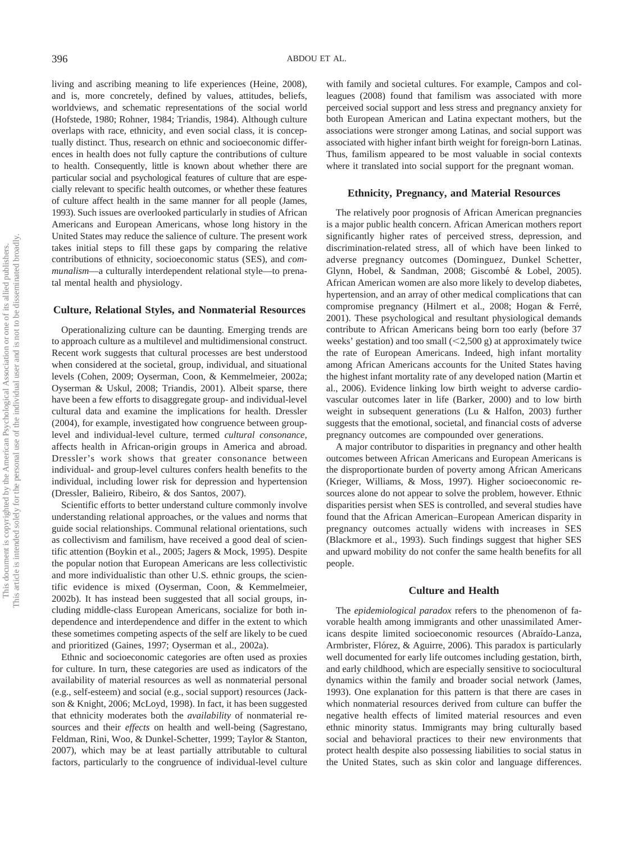living and ascribing meaning to life experiences (Heine, 2008), and is, more concretely, defined by values, attitudes, beliefs, worldviews, and schematic representations of the social world (Hofstede, 1980; Rohner, 1984; Triandis, 1984). Although culture overlaps with race, ethnicity, and even social class, it is conceptually distinct. Thus, research on ethnic and socioeconomic differences in health does not fully capture the contributions of culture to health. Consequently, little is known about whether there are particular social and psychological features of culture that are especially relevant to specific health outcomes, or whether these features of culture affect health in the same manner for all people (James, 1993). Such issues are overlooked particularly in studies of African Americans and European Americans, whose long history in the United States may reduce the salience of culture. The present work takes initial steps to fill these gaps by comparing the relative contributions of ethnicity, socioeconomic status (SES), and *communalism*—a culturally interdependent relational style—to prenatal mental health and physiology.

#### **Culture, Relational Styles, and Nonmaterial Resources**

Operationalizing culture can be daunting. Emerging trends are to approach culture as a multilevel and multidimensional construct. Recent work suggests that cultural processes are best understood when considered at the societal, group, individual, and situational levels (Cohen, 2009; Oyserman, Coon, & Kemmelmeier, 2002a; Oyserman & Uskul, 2008; Triandis, 2001). Albeit sparse, there have been a few efforts to disaggregate group- and individual-level cultural data and examine the implications for health. Dressler (2004), for example, investigated how congruence between grouplevel and individual-level culture, termed *cultural consonance*, affects health in African-origin groups in America and abroad. Dressler's work shows that greater consonance between individual- and group-level cultures confers health benefits to the individual, including lower risk for depression and hypertension (Dressler, Balieiro, Ribeiro, & dos Santos, 2007).

Scientific efforts to better understand culture commonly involve understanding relational approaches, or the values and norms that guide social relationships. Communal relational orientations, such as collectivism and familism, have received a good deal of scientific attention (Boykin et al., 2005; Jagers & Mock, 1995). Despite the popular notion that European Americans are less collectivistic and more individualistic than other U.S. ethnic groups, the scientific evidence is mixed (Oyserman, Coon, & Kemmelmeier, 2002b). It has instead been suggested that all social groups, including middle-class European Americans, socialize for both independence and interdependence and differ in the extent to which these sometimes competing aspects of the self are likely to be cued and prioritized (Gaines, 1997; Oyserman et al., 2002a).

Ethnic and socioeconomic categories are often used as proxies for culture. In turn, these categories are used as indicators of the availability of material resources as well as nonmaterial personal (e.g., self-esteem) and social (e.g., social support) resources (Jackson & Knight, 2006; McLoyd, 1998). In fact, it has been suggested that ethnicity moderates both the *availability* of nonmaterial resources and their *effects* on health and well-being (Sagrestano, Feldman, Rini, Woo, & Dunkel-Schetter, 1999; Taylor & Stanton, 2007), which may be at least partially attributable to cultural factors, particularly to the congruence of individual-level culture

with family and societal cultures. For example, Campos and colleagues (2008) found that familism was associated with more perceived social support and less stress and pregnancy anxiety for both European American and Latina expectant mothers, but the associations were stronger among Latinas, and social support was associated with higher infant birth weight for foreign-born Latinas. Thus, familism appeared to be most valuable in social contexts where it translated into social support for the pregnant woman.

## **Ethnicity, Pregnancy, and Material Resources**

The relatively poor prognosis of African American pregnancies is a major public health concern. African American mothers report significantly higher rates of perceived stress, depression, and discrimination-related stress, all of which have been linked to adverse pregnancy outcomes (Dominguez, Dunkel Schetter, Glynn, Hobel,  $&$  Sandman, 2008; Giscombé $&$  Lobel, 2005). African American women are also more likely to develop diabetes, hypertension, and an array of other medical complications that can compromise pregnancy (Hilmert et al., 2008; Hogan & Ferré, 2001). These psychological and resultant physiological demands contribute to African Americans being born too early (before 37 weeks' gestation) and too small  $(<2,500 \text{ g})$  at approximately twice the rate of European Americans. Indeed, high infant mortality among African Americans accounts for the United States having the highest infant mortality rate of any developed nation (Martin et al., 2006). Evidence linking low birth weight to adverse cardiovascular outcomes later in life (Barker, 2000) and to low birth weight in subsequent generations (Lu & Halfon, 2003) further suggests that the emotional, societal, and financial costs of adverse pregnancy outcomes are compounded over generations.

A major contributor to disparities in pregnancy and other health outcomes between African Americans and European Americans is the disproportionate burden of poverty among African Americans (Krieger, Williams, & Moss, 1997). Higher socioeconomic resources alone do not appear to solve the problem, however. Ethnic disparities persist when SES is controlled, and several studies have found that the African American–European American disparity in pregnancy outcomes actually widens with increases in SES (Blackmore et al., 1993). Such findings suggest that higher SES and upward mobility do not confer the same health benefits for all people.

## **Culture and Health**

The *epidemiological paradox* refers to the phenomenon of favorable health among immigrants and other unassimilated Americans despite limited socioeconomic resources (Abraı´do-Lanza, Armbrister, Flórez, & Aguirre, 2006). This paradox is particularly well documented for early life outcomes including gestation, birth, and early childhood, which are especially sensitive to sociocultural dynamics within the family and broader social network (James, 1993). One explanation for this pattern is that there are cases in which nonmaterial resources derived from culture can buffer the negative health effects of limited material resources and even ethnic minority status. Immigrants may bring culturally based social and behavioral practices to their new environments that protect health despite also possessing liabilities to social status in the United States, such as skin color and language differences.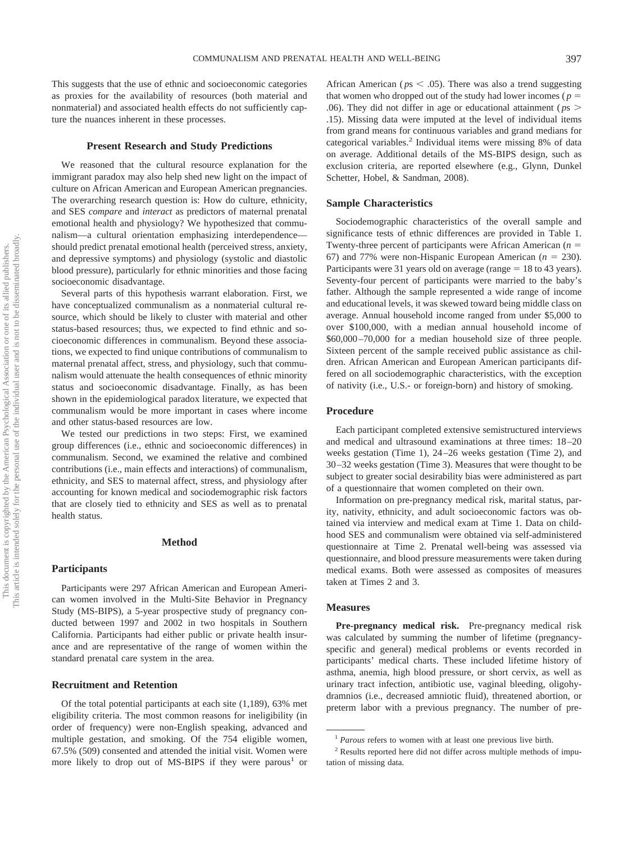This suggests that the use of ethnic and socioeconomic categories as proxies for the availability of resources (both material and nonmaterial) and associated health effects do not sufficiently capture the nuances inherent in these processes.

#### **Present Research and Study Predictions**

We reasoned that the cultural resource explanation for the immigrant paradox may also help shed new light on the impact of culture on African American and European American pregnancies. The overarching research question is: How do culture, ethnicity, and SES *compare* and *interact* as predictors of maternal prenatal emotional health and physiology? We hypothesized that communalism—a cultural orientation emphasizing interdependence should predict prenatal emotional health (perceived stress, anxiety, and depressive symptoms) and physiology (systolic and diastolic blood pressure), particularly for ethnic minorities and those facing socioeconomic disadvantage.

Several parts of this hypothesis warrant elaboration. First, we have conceptualized communalism as a nonmaterial cultural resource, which should be likely to cluster with material and other status-based resources; thus, we expected to find ethnic and socioeconomic differences in communalism. Beyond these associations, we expected to find unique contributions of communalism to maternal prenatal affect, stress, and physiology, such that communalism would attenuate the health consequences of ethnic minority status and socioeconomic disadvantage. Finally, as has been shown in the epidemiological paradox literature, we expected that communalism would be more important in cases where income and other status-based resources are low.

We tested our predictions in two steps: First, we examined group differences (i.e., ethnic and socioeconomic differences) in communalism. Second, we examined the relative and combined contributions (i.e., main effects and interactions) of communalism, ethnicity, and SES to maternal affect, stress, and physiology after accounting for known medical and sociodemographic risk factors that are closely tied to ethnicity and SES as well as to prenatal health status.

#### **Method**

#### **Participants**

Participants were 297 African American and European American women involved in the Multi-Site Behavior in Pregnancy Study (MS-BIPS), a 5-year prospective study of pregnancy conducted between 1997 and 2002 in two hospitals in Southern California. Participants had either public or private health insurance and are representative of the range of women within the standard prenatal care system in the area.

## **Recruitment and Retention**

Of the total potential participants at each site (1,189), 63% met eligibility criteria. The most common reasons for ineligibility (in order of frequency) were non-English speaking, advanced and multiple gestation, and smoking. Of the 754 eligible women, 67.5% (509) consented and attended the initial visit. Women were more likely to drop out of MS-BIPS if they were parous<sup>1</sup> or

African American ( $ps < .05$ ). There was also a trend suggesting that women who dropped out of the study had lower incomes ( $p =$ .06). They did not differ in age or educational attainment ( $p_s$ ) .15). Missing data were imputed at the level of individual items from grand means for continuous variables and grand medians for categorical variables.2 Individual items were missing 8% of data on average. Additional details of the MS-BIPS design, such as exclusion criteria, are reported elsewhere (e.g., Glynn, Dunkel Schetter, Hobel, & Sandman, 2008).

#### **Sample Characteristics**

Sociodemographic characteristics of the overall sample and significance tests of ethnic differences are provided in Table 1. Twenty-three percent of participants were African American (*n* 67) and 77% were non-Hispanic European American  $(n = 230)$ . Participants were 31 years old on average (range  $= 18$  to 43 years). Seventy-four percent of participants were married to the baby's father. Although the sample represented a wide range of income and educational levels, it was skewed toward being middle class on average. Annual household income ranged from under \$5,000 to over \$100,000, with a median annual household income of \$60,000–70,000 for a median household size of three people. Sixteen percent of the sample received public assistance as children. African American and European American participants differed on all sociodemographic characteristics, with the exception of nativity (i.e., U.S.- or foreign-born) and history of smoking.

## **Procedure**

Each participant completed extensive semistructured interviews and medical and ultrasound examinations at three times: 18–20 weeks gestation (Time 1), 24–26 weeks gestation (Time 2), and 30–32 weeks gestation (Time 3). Measures that were thought to be subject to greater social desirability bias were administered as part of a questionnaire that women completed on their own.

Information on pre-pregnancy medical risk, marital status, parity, nativity, ethnicity, and adult socioeconomic factors was obtained via interview and medical exam at Time 1. Data on childhood SES and communalism were obtained via self-administered questionnaire at Time 2. Prenatal well-being was assessed via questionnaire, and blood pressure measurements were taken during medical exams. Both were assessed as composites of measures taken at Times 2 and 3.

## **Measures**

**Pre-pregnancy medical risk.** Pre-pregnancy medical risk was calculated by summing the number of lifetime (pregnancyspecific and general) medical problems or events recorded in participants' medical charts. These included lifetime history of asthma, anemia, high blood pressure, or short cervix, as well as urinary tract infection, antibiotic use, vaginal bleeding, oligohydramnios (i.e., decreased amniotic fluid), threatened abortion, or preterm labor with a previous pregnancy. The number of pre-

<sup>1</sup> *Parous* refers to women with at least one previous live birth.

<sup>2</sup> Results reported here did not differ across multiple methods of imputation of missing data.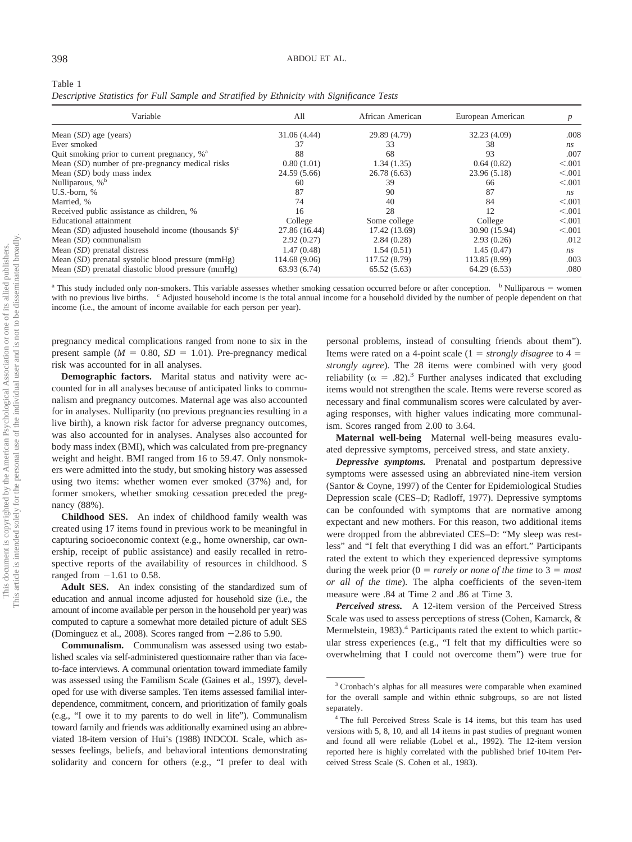| Table 1                                                                                    |  |  |  |  |
|--------------------------------------------------------------------------------------------|--|--|--|--|
| Descriptive Statistics for Full Sample and Stratified by Ethnicity with Significance Tests |  |  |  |  |

| Variable                                                            | All           | African American | European American |         |
|---------------------------------------------------------------------|---------------|------------------|-------------------|---------|
| Mean $(SD)$ age (years)                                             | 31.06(4.44)   | 29.89 (4.79)     | 32.23 (4.09)      | .008    |
| Ever smoked                                                         | 37            | 33               | 38                | ns      |
| Quit smoking prior to current pregnancy, % <sup>a</sup>             | 88            | 68               | 93                | .007    |
| Mean (SD) number of pre-pregnancy medical risks                     | 0.80(1.01)    | 1.34(1.35)       | 0.64(0.82)        | < 0.001 |
| Mean (SD) body mass index                                           | 24.59 (5.66)  | 26.78(6.63)      | 23.96 (5.18)      | < 0.001 |
| Nulliparous, % <sup>b</sup>                                         | 60            | 39               | 66                | < 0.001 |
| $U.S.-born, %$                                                      | 87            | 90               | 87                | ns      |
| Married, %                                                          | 74            | 40               | 84                | < 0.001 |
| Received public assistance as children, %                           | 16            | 28               | 12                | < 0.001 |
| Educational attainment                                              | College       | Some college     | College           | < 0.001 |
| Mean (SD) adjusted household income (thousands $S^c$ ) <sup>c</sup> | 27.86 (16.44) | 17.42 (13.69)    | 30.90 (15.94)     | < 0.001 |
| Mean $(SD)$ communalism                                             | 2.92(0.27)    | 2.84(0.28)       | 2.93(0.26)        | .012    |
| Mean (SD) prenatal distress                                         | 1.47(0.48)    | 1.54(0.51)       | 1.45(0.47)        | ns      |
| Mean <i>(SD)</i> prenatal systolic blood pressure <i>(mmHg)</i>     | 114.68 (9.06) | 117.52 (8.79)    | 113.85 (8.99)     | .003    |
| Mean (SD) prenatal diastolic blood pressure (mmHg)                  | 63.93(6.74)   | 65.52(5.63)      | 64.29(6.53)       | .080    |

<sup>a</sup> This study included only non-smokers. This variable assesses whether smoking cessation occurred before or after conception.  $\frac{b}{c}$  Nulliparous = women with no previous live births. <sup>c</sup> Adjusted household income is the total annual income for a household divided by the number of people dependent on that income (i.e., the amount of income available for each person per year).

pregnancy medical complications ranged from none to six in the present sample ( $M = 0.80$ ,  $SD = 1.01$ ). Pre-pregnancy medical risk was accounted for in all analyses.

**Demographic factors.** Marital status and nativity were accounted for in all analyses because of anticipated links to communalism and pregnancy outcomes. Maternal age was also accounted for in analyses. Nulliparity (no previous pregnancies resulting in a live birth), a known risk factor for adverse pregnancy outcomes, was also accounted for in analyses. Analyses also accounted for body mass index (BMI), which was calculated from pre-pregnancy weight and height. BMI ranged from 16 to 59.47. Only nonsmokers were admitted into the study, but smoking history was assessed using two items: whether women ever smoked (37%) and, for former smokers, whether smoking cessation preceded the pregnancy (88%).

**Childhood SES.** An index of childhood family wealth was created using 17 items found in previous work to be meaningful in capturing socioeconomic context (e.g., home ownership, car ownership, receipt of public assistance) and easily recalled in retrospective reports of the availability of resources in childhood. S ranged from  $-1.61$  to 0.58.

**Adult SES.** An index consisting of the standardized sum of education and annual income adjusted for household size (i.e., the amount of income available per person in the household per year) was computed to capture a somewhat more detailed picture of adult SES (Dominguez et al., 2008). Scores ranged from  $-2.86$  to 5.90.

**Communalism.** Communalism was assessed using two established scales via self-administered questionnaire rather than via faceto-face interviews. A communal orientation toward immediate family was assessed using the Familism Scale (Gaines et al., 1997), developed for use with diverse samples. Ten items assessed familial interdependence, commitment, concern, and prioritization of family goals (e.g., "I owe it to my parents to do well in life"). Communalism toward family and friends was additionally examined using an abbreviated 18-item version of Hui's (1988) INDCOL Scale, which assesses feelings, beliefs, and behavioral intentions demonstrating solidarity and concern for others (e.g., "I prefer to deal with personal problems, instead of consulting friends about them"). Items were rated on a 4-point scale  $(1 = strongly disagree to 4 =$ *strongly agree*). The 28 items were combined with very good reliability ( $\alpha = .82$ ).<sup>3</sup> Further analyses indicated that excluding items would not strengthen the scale. Items were reverse scored as necessary and final communalism scores were calculated by averaging responses, with higher values indicating more communalism. Scores ranged from 2.00 to 3.64.

**Maternal well-being** Maternal well-being measures evaluated depressive symptoms, perceived stress, and state anxiety.

*Depressive symptoms.* Prenatal and postpartum depressive symptoms were assessed using an abbreviated nine-item version (Santor & Coyne, 1997) of the Center for Epidemiological Studies Depression scale (CES–D; Radloff, 1977). Depressive symptoms can be confounded with symptoms that are normative among expectant and new mothers. For this reason, two additional items were dropped from the abbreviated CES–D: "My sleep was restless" and "I felt that everything I did was an effort." Participants rated the extent to which they experienced depressive symptoms during the week prior  $(0 = rarely \ or \ none \ of \ the \ time \ to \ 3 = most)$ *or all of the time*). The alpha coefficients of the seven-item measure were .84 at Time 2 and .86 at Time 3.

*Perceived stress.* A 12-item version of the Perceived Stress Scale was used to assess perceptions of stress (Cohen, Kamarck, & Mermelstein, 1983).<sup>4</sup> Participants rated the extent to which particular stress experiences (e.g., "I felt that my difficulties were so overwhelming that I could not overcome them") were true for

<sup>3</sup> Cronbach's alphas for all measures were comparable when examined for the overall sample and within ethnic subgroups, so are not listed separately.

<sup>4</sup> The full Perceived Stress Scale is 14 items, but this team has used versions with 5, 8, 10, and all 14 items in past studies of pregnant women and found all were reliable (Lobel et al., 1992). The 12-item version reported here is highly correlated with the published brief 10-item Perceived Stress Scale (S. Cohen et al., 1983).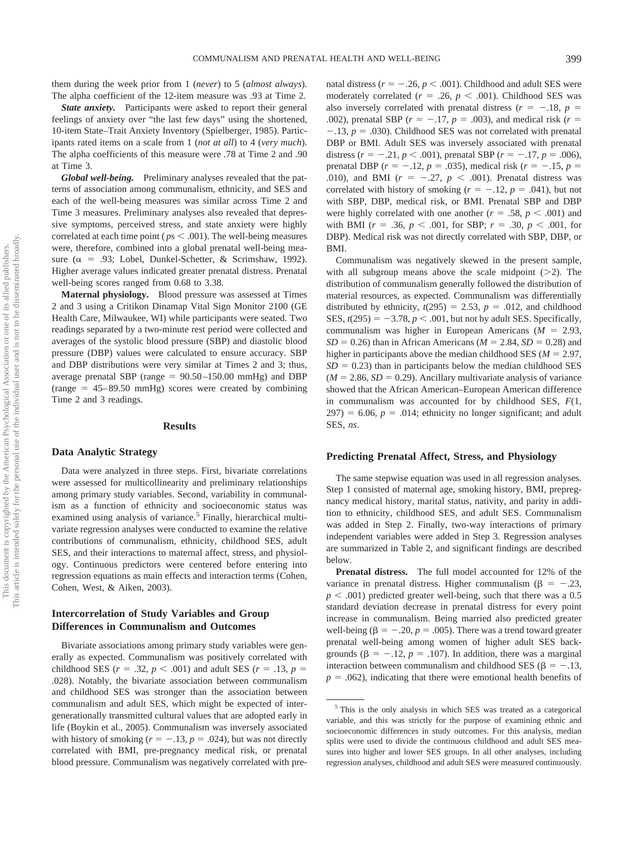them during the week prior from 1 (*never*) to 5 (*almost always*). The alpha coefficient of the 12-item measure was .93 at Time 2.

*State anxiety.* Participants were asked to report their general feelings of anxiety over "the last few days" using the shortened, 10-item State–Trait Anxiety Inventory (Spielberger, 1985). Participants rated items on a scale from 1 (*not at all*) to 4 (*very much*). The alpha coefficients of this measure were .78 at Time 2 and .90 at Time 3.

*Global well-being.* Preliminary analyses revealed that the patterns of association among communalism, ethnicity, and SES and each of the well-being measures was similar across Time 2 and Time 3 measures. Preliminary analyses also revealed that depressive symptoms, perceived stress, and state anxiety were highly correlated at each time point ( $ps < .001$ ). The well-being measures were, therefore, combined into a global prenatal well-being measure ( $\alpha$  = .93; Lobel, Dunkel-Schetter, & Scrimshaw, 1992). Higher average values indicated greater prenatal distress. Prenatal well-being scores ranged from 0.68 to 3.38.

**Maternal physiology.** Blood pressure was assessed at Times 2 and 3 using a Critikon Dinamap Vital Sign Monitor 2100 (GE Health Care, Milwaukee, WI) while participants were seated. Two readings separated by a two-minute rest period were collected and averages of the systolic blood pressure (SBP) and diastolic blood pressure (DBP) values were calculated to ensure accuracy. SBP and DBP distributions were very similar at Times 2 and 3; thus, average prenatal SBP (range  $= 90.50 - 150.00$  mmHg) and DBP (range  $= 45-89.50$  mmHg) scores were created by combining Time 2 and 3 readings.

#### **Results**

#### **Data Analytic Strategy**

Data were analyzed in three steps. First, bivariate correlations were assessed for multicollinearity and preliminary relationships among primary study variables. Second, variability in communalism as a function of ethnicity and socioeconomic status was examined using analysis of variance.<sup>5</sup> Finally, hierarchical multivariate regression analyses were conducted to examine the relative contributions of communalism, ethnicity, childhood SES, adult SES, and their interactions to maternal affect, stress, and physiology. Continuous predictors were centered before entering into regression equations as main effects and interaction terms (Cohen, Cohen, West, & Aiken, 2003).

## **Intercorrelation of Study Variables and Group Differences in Communalism and Outcomes**

Bivariate associations among primary study variables were generally as expected. Communalism was positively correlated with childhood SES ( $r = .32, p < .001$ ) and adult SES ( $r = .13, p =$ .028). Notably, the bivariate association between communalism and childhood SES was stronger than the association between communalism and adult SES, which might be expected of intergenerationally transmitted cultural values that are adopted early in life (Boykin et al., 2005). Communalism was inversely associated with history of smoking  $(r = -.13, p = .024)$ , but was not directly correlated with BMI, pre-pregnancy medical risk, or prenatal blood pressure. Communalism was negatively correlated with pre-

natal distress ( $r = -.26$ ,  $p < .001$ ). Childhood and adult SES were moderately correlated ( $r = .26$ ,  $p < .001$ ). Childhood SES was also inversely correlated with prenatal distress  $(r = -.18, p =$ .002), prenatal SBP ( $r = -.17$ ,  $p = .003$ ), and medical risk ( $r =$  $-13$ ,  $p = 0.030$ ). Childhood SES was not correlated with prenatal DBP or BMI. Adult SES was inversely associated with prenatal distress  $(r = -.21, p < .001)$ , prenatal SBP  $(r = -.17, p = .006)$ , prenatal DBP ( $r = -.12$ ,  $p = .035$ ), medical risk ( $r = -.15$ ,  $p =$ .010), and BMI  $(r = -0.27, p < .001)$ . Prenatal distress was correlated with history of smoking ( $r = -.12$ ,  $p = .041$ ), but not with SBP, DBP, medical risk, or BMI. Prenatal SBP and DBP were highly correlated with one another  $(r = .58, p < .001)$  and with BMI  $(r = .36, p < .001, \text{ for SBP}; r = .30, p < .001, \text{ for }$ DBP). Medical risk was not directly correlated with SBP, DBP, or BMI.

Communalism was negatively skewed in the present sample, with all subgroup means above the scale midpoint  $(2)$ . The distribution of communalism generally followed the distribution of material resources, as expected. Communalism was differentially distributed by ethnicity,  $t(295) = 2.53$ ,  $p = .012$ , and childhood SES,  $t(295) = -3.78$ ,  $p < .001$ , but not by adult SES. Specifically, communalism was higher in European Americans  $(M = 2.93,$  $SD = 0.26$ ) than in African Americans ( $M = 2.84$ ,  $SD = 0.28$ ) and higher in participants above the median childhood SES ( $M = 2.97$ ,  $SD = 0.23$ ) than in participants below the median childhood SES  $(M = 2.86, SD = 0.29)$ . Ancillary multivariate analysis of variance showed that the African American–European American difference in communalism was accounted for by childhood SES, *F*(1,  $(297) = 6.06$ ,  $p = .014$ ; ethnicity no longer significant; and adult SES, *ns*.

### **Predicting Prenatal Affect, Stress, and Physiology**

The same stepwise equation was used in all regression analyses. Step 1 consisted of maternal age, smoking history, BMI, prepregnancy medical history, marital status, nativity, and parity in addition to ethnicity, childhood SES, and adult SES. Communalism was added in Step 2. Finally, two-way interactions of primary independent variables were added in Step 3. Regression analyses are summarized in Table 2, and significant findings are described below.

**Prenatal distress.** The full model accounted for 12% of the variance in prenatal distress. Higher communalism ( $\beta = -.23$ ,  $p < .001$ ) predicted greater well-being, such that there was a 0.5 standard deviation decrease in prenatal distress for every point increase in communalism. Being married also predicted greater well-being ( $\beta = -.20, p = .005$ ). There was a trend toward greater prenatal well-being among women of higher adult SES backgrounds ( $\beta = -.12$ ,  $p = .107$ ). In addition, there was a marginal interaction between communalism and childhood SES ( $\beta = -.13$ ,  $p = .062$ ), indicating that there were emotional health benefits of

<sup>5</sup> This is the only analysis in which SES was treated as a categorical variable, and this was strictly for the purpose of examining ethnic and socioeconomic differences in study outcomes. For this analysis, median splits were used to divide the continuous childhood and adult SES measures into higher and lower SES groups. In all other analyses, including regression analyses, childhood and adult SES were measured continuously.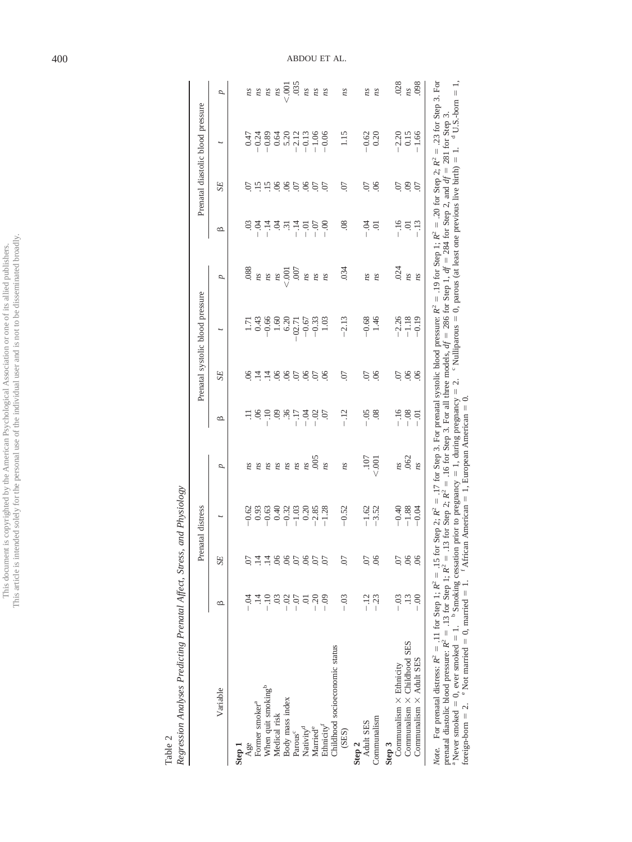|                     | ⋍             |
|---------------------|---------------|
| j                   |               |
| š<br>i              | ¢             |
|                     | í             |
|                     |               |
|                     |               |
|                     |               |
|                     |               |
|                     |               |
| í                   |               |
|                     | j             |
|                     | ţ             |
| į                   |               |
| i                   |               |
|                     |               |
|                     |               |
|                     |               |
|                     |               |
|                     |               |
|                     |               |
|                     |               |
|                     |               |
|                     |               |
|                     | user.         |
|                     |               |
|                     |               |
|                     |               |
| ì                   |               |
| )<br>j              |               |
| I<br>j<br>ì         |               |
| ł<br>l              |               |
|                     |               |
|                     |               |
|                     |               |
| $\overline{1}$<br>l |               |
| CON                 |               |
| ł                   |               |
| í<br>Č              |               |
| ć                   |               |
|                     |               |
|                     |               |
|                     |               |
|                     | $\frac{1}{2}$ |
| ny the.             |               |
|                     |               |
| j<br>ĭ              | ١<br>í        |
| ì                   |               |
| ł<br>ļ<br>)         |               |
| į                   |               |
| ł                   |               |
| C                   |               |
|                     |               |
|                     |               |
| l                   | í             |
| ł                   |               |
|                     |               |
|                     |               |
| ١                   |               |
|                     | З             |
| l his d             |               |
|                     | ć             |
|                     | Ě             |
|                     | į<br>í        |
|                     |               |

Table 2<br>Regression Analyses Predicting Prenatal Affect, Stress, and Physiology *Regression Analyses Predicting Prenatal Affect, Stress, and Physiology*

|                                                                                                                                                                                                                                                                                                                                                                                                |                      |           | Prenatal distress     |                |                |                | Prenatal systolic blood pressure                                                                                                                                                                                                                                                                                                                 |        |                |                | Prenatal diastolic blood pressure |                    |
|------------------------------------------------------------------------------------------------------------------------------------------------------------------------------------------------------------------------------------------------------------------------------------------------------------------------------------------------------------------------------------------------|----------------------|-----------|-----------------------|----------------|----------------|----------------|--------------------------------------------------------------------------------------------------------------------------------------------------------------------------------------------------------------------------------------------------------------------------------------------------------------------------------------------------|--------|----------------|----------------|-----------------------------------|--------------------|
| Variable                                                                                                                                                                                                                                                                                                                                                                                       | ≃                    | SE        |                       | p              | ≃              | <b>SE</b>      |                                                                                                                                                                                                                                                                                                                                                  | d      | മ              | SE <sub></sub> |                                   | p                  |
| Step 1                                                                                                                                                                                                                                                                                                                                                                                         |                      |           |                       |                |                |                |                                                                                                                                                                                                                                                                                                                                                  |        |                |                |                                   |                    |
| Age                                                                                                                                                                                                                                                                                                                                                                                            |                      | S         |                       | ns             |                |                | 1.71                                                                                                                                                                                                                                                                                                                                             | .088   | S              | 50             | 0.47                              | ns                 |
| Former smoker <sup>a</sup>                                                                                                                                                                                                                                                                                                                                                                     |                      | Ë         |                       | ns             | 66             |                | 0.43                                                                                                                                                                                                                                                                                                                                             | ns     |                |                | $-0.24$                           | ns                 |
| When quit smoking <sup>b</sup>                                                                                                                                                                                                                                                                                                                                                                 | $\frac{1}{\sqrt{2}}$ | $\vec{a}$ |                       | ns             | $\ddot{=}$     |                | $-0.66$                                                                                                                                                                                                                                                                                                                                          | ns     | $rac{3}{1}$    |                | $-0.89$                           | ns                 |
| Medical risk                                                                                                                                                                                                                                                                                                                                                                                   |                      |           |                       | ns             |                |                | 1.60                                                                                                                                                                                                                                                                                                                                             | ns     |                |                | 0.64                              | ns                 |
| Body mass index                                                                                                                                                                                                                                                                                                                                                                                | $\frac{1}{2}$        |           |                       | ns             | $\frac{36}{2}$ |                | 6.20                                                                                                                                                                                                                                                                                                                                             | $-001$ | ਤ ਼            |                | 5.20                              | $\overline{00}$    |
| Parous <sup>c</sup>                                                                                                                                                                                                                                                                                                                                                                            | - 07<br>-            | 9999      |                       | ns             | $-17$<br>$-17$ | STTSS5S5S      |                                                                                                                                                                                                                                                                                                                                                  | $.007$ |                | 558585         |                                   | .035               |
| Nativity <sup>d</sup>                                                                                                                                                                                                                                                                                                                                                                          |                      |           |                       | ns             |                |                | $-02.71$<br>$-0.67$                                                                                                                                                                                                                                                                                                                              | ns     | $-14$<br>$-14$ |                | $-2.12$<br>$-0.13$                | ns                 |
| Married <sup>e</sup>                                                                                                                                                                                                                                                                                                                                                                           |                      | $-0.07$   |                       | .005           | $-02$          |                | $-0.33$                                                                                                                                                                                                                                                                                                                                          | ns     | $-0$           |                | $-1.06$<br>$-0.06$                | ns                 |
| Ethnicity <sup>f</sup>                                                                                                                                                                                                                                                                                                                                                                         | $-0$                 |           |                       | ns             | $\overline{0}$ |                | 1.03                                                                                                                                                                                                                                                                                                                                             | ns     | $rac{5}{1}$    | $\overline{0}$ |                                   | ns                 |
| Childhood socioeconomic status                                                                                                                                                                                                                                                                                                                                                                 |                      |           |                       |                |                |                |                                                                                                                                                                                                                                                                                                                                                  |        |                |                |                                   |                    |
| (SES)                                                                                                                                                                                                                                                                                                                                                                                          | $-03$                | S         | $-0.52$               | ns             | $-12$          | $\overline{0}$ | $-2.13$                                                                                                                                                                                                                                                                                                                                          | 034    | $\frac{8}{2}$  | 50             | 1.15                              | ns                 |
| Step <sub>2</sub>                                                                                                                                                                                                                                                                                                                                                                              |                      |           |                       |                |                |                |                                                                                                                                                                                                                                                                                                                                                  |        |                |                |                                   |                    |
| Adult SES                                                                                                                                                                                                                                                                                                                                                                                      | $-12$                | S         | $-1.62$               | $.107$         | $-0.5$         | $\overline{c}$ | $-0.68$                                                                                                                                                                                                                                                                                                                                          | ns     | $-5$           | 50             | $-0.62$                           | ns                 |
| Communalism                                                                                                                                                                                                                                                                                                                                                                                    | $-23$                | Š         | $-3.52$               | $\overline{6}$ | 08             | $\infty$       | 1.46                                                                                                                                                                                                                                                                                                                                             | ns     | $\Xi$          | $\infty$       | 0.20                              | ris                |
| Step 3                                                                                                                                                                                                                                                                                                                                                                                         |                      |           |                       |                |                |                |                                                                                                                                                                                                                                                                                                                                                  |        |                |                |                                   |                    |
| Communalism $\times$ Ethnicity                                                                                                                                                                                                                                                                                                                                                                 | $-0.3$               | S         | $-0.40$               | ns             | $-16$          |                | $-2.26$                                                                                                                                                                                                                                                                                                                                          | .024   | $-16$          | 50             | $-2.20$                           | .028               |
| Communalism × Childhood SES                                                                                                                                                                                                                                                                                                                                                                    | $\Xi$                | S.        | $-1.88$               | .062           | $-0.8$         | 5.8            | $-1.18$                                                                                                                                                                                                                                                                                                                                          | ns     | ō.             | $\ddot{\circ}$ | 0.15                              | ns                 |
| Communalism $\times$ Adult SES                                                                                                                                                                                                                                                                                                                                                                 | $rac{5}{1}$          | S.        | $-0.04$               | ns             | $-0.1$         | $\infty$       | $-0.19$                                                                                                                                                                                                                                                                                                                                          | ns     | $-13$          | $\overline{0}$ | $-1.66$                           | .098               |
| <sup>a</sup> Never smoked = 0, ever smoked = 1. <sup>b</sup> Smoking cessation prior to pregnancy = 1, during pregnancy =<br>foreign-born = 2. $\degree$ Not married = 0, married = 1. $\degree$ African American = 1, European American = 0.<br>prenatal diastolic blood pressure: $R^2 = .13$ for Step 1; $R^2 =$<br><i>Note.</i> For prenatal distress: $R^2 = .11$ for Step 1; $R^2 = .15$ |                      |           | for Step 2; $R^2 =$ . |                |                | $\overline{c}$ | 17 for Step 3. For prenatal systolic blood pressure: $R^2 = 19$ for Step 1; $R^2 = 20$ for Step 2; $R^2 = 23$ for Step 3. For<br>.13 for Step 2; $R^2 = 16$ for Step 3. For all three models, $df = 286$ for Step 1, $df = 284$ for Step 2, and $df = 281$ for Step 3.<br>$\degree$ Nulliparous = 0, parous (at least one previous live birth) = |        |                |                |                                   | $^4$ U.S.-born $=$ |

400 ABDOU ET AL.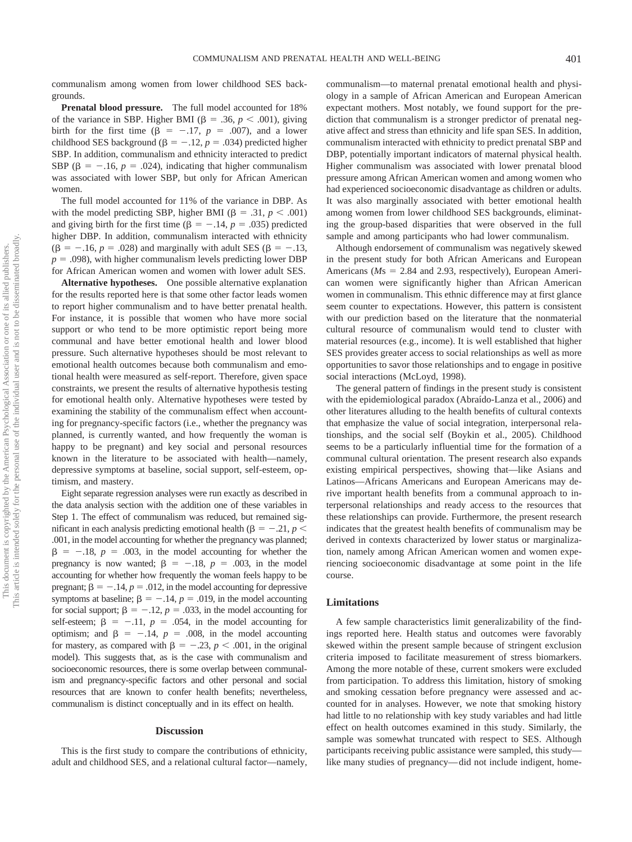communalism among women from lower childhood SES backgrounds.

**Prenatal blood pressure.** The full model accounted for 18% of the variance in SBP. Higher BMI ( $\beta = .36, p < .001$ ), giving birth for the first time ( $\beta$  = -.17,  $p$  = .007), and a lower childhood SES background ( $\beta = -.12$ ,  $p = .034$ ) predicted higher SBP. In addition, communalism and ethnicity interacted to predict SBP ( $\beta = -.16$ ,  $p = .024$ ), indicating that higher communalism was associated with lower SBP, but only for African American women.

The full model accounted for 11% of the variance in DBP. As with the model predicting SBP, higher BMI  $(\beta = .31, p < .001)$ and giving birth for the first time ( $\beta = -.14$ ,  $p = .035$ ) predicted higher DBP. In addition, communalism interacted with ethnicity  $(\beta = -.16, p = .028)$  and marginally with adult SES ( $\beta = -.13$ ,  $p = .098$ ), with higher communalism levels predicting lower DBP for African American women and women with lower adult SES.

**Alternative hypotheses.** One possible alternative explanation for the results reported here is that some other factor leads women to report higher communalism and to have better prenatal health. For instance, it is possible that women who have more social support or who tend to be more optimistic report being more communal and have better emotional health and lower blood pressure. Such alternative hypotheses should be most relevant to emotional health outcomes because both communalism and emotional health were measured as self-report. Therefore, given space constraints, we present the results of alternative hypothesis testing for emotional health only. Alternative hypotheses were tested by examining the stability of the communalism effect when accounting for pregnancy-specific factors (i.e., whether the pregnancy was planned, is currently wanted, and how frequently the woman is happy to be pregnant) and key social and personal resources known in the literature to be associated with health—namely, depressive symptoms at baseline, social support, self-esteem, optimism, and mastery.

Eight separate regression analyses were run exactly as described in the data analysis section with the addition one of these variables in Step 1. The effect of communalism was reduced, but remained significant in each analysis predicting emotional health ( $\beta = -0.21$ ,  $p <$ .001, in the model accounting for whether the pregnancy was planned;  $\beta$  = -.18,  $p$  = .003, in the model accounting for whether the pregnancy is now wanted;  $\beta = -.18$ ,  $p = .003$ , in the model accounting for whether how frequently the woman feels happy to be pregnant;  $\beta = -.14$ ,  $p = .012$ , in the model accounting for depressive symptoms at baseline;  $\beta = -.14$ ,  $p = .019$ , in the model accounting for social support;  $\beta = -.12$ ,  $p = .033$ , in the model accounting for self-esteem;  $\beta = -.11$ ,  $p = .054$ , in the model accounting for optimism; and  $\beta = -.14$ ,  $p = .008$ , in the model accounting for mastery, as compared with  $\beta = -0.23$ ,  $p < 0.001$ , in the original model). This suggests that, as is the case with communalism and socioeconomic resources, there is some overlap between communalism and pregnancy-specific factors and other personal and social resources that are known to confer health benefits; nevertheless, communalism is distinct conceptually and in its effect on health.

#### **Discussion**

This is the first study to compare the contributions of ethnicity, adult and childhood SES, and a relational cultural factor—namely, communalism—to maternal prenatal emotional health and physiology in a sample of African American and European American expectant mothers. Most notably, we found support for the prediction that communalism is a stronger predictor of prenatal negative affect and stress than ethnicity and life span SES. In addition, communalism interacted with ethnicity to predict prenatal SBP and DBP, potentially important indicators of maternal physical health. Higher communalism was associated with lower prenatal blood pressure among African American women and among women who had experienced socioeconomic disadvantage as children or adults. It was also marginally associated with better emotional health among women from lower childhood SES backgrounds, eliminating the group-based disparities that were observed in the full sample and among participants who had lower communalism.

Although endorsement of communalism was negatively skewed in the present study for both African Americans and European Americans ( $Ms = 2.84$  and 2.93, respectively), European American women were significantly higher than African American women in communalism. This ethnic difference may at first glance seem counter to expectations. However, this pattern is consistent with our prediction based on the literature that the nonmaterial cultural resource of communalism would tend to cluster with material resources (e.g., income). It is well established that higher SES provides greater access to social relationships as well as more opportunities to savor those relationships and to engage in positive social interactions (McLoyd, 1998).

The general pattern of findings in the present study is consistent with the epidemiological paradox (Abraído-Lanza et al., 2006) and other literatures alluding to the health benefits of cultural contexts that emphasize the value of social integration, interpersonal relationships, and the social self (Boykin et al., 2005). Childhood seems to be a particularly influential time for the formation of a communal cultural orientation. The present research also expands existing empirical perspectives, showing that—like Asians and Latinos—Africans Americans and European Americans may derive important health benefits from a communal approach to interpersonal relationships and ready access to the resources that these relationships can provide. Furthermore, the present research indicates that the greatest health benefits of communalism may be derived in contexts characterized by lower status or marginalization, namely among African American women and women experiencing socioeconomic disadvantage at some point in the life course.

#### **Limitations**

A few sample characteristics limit generalizability of the findings reported here. Health status and outcomes were favorably skewed within the present sample because of stringent exclusion criteria imposed to facilitate measurement of stress biomarkers. Among the more notable of these, current smokers were excluded from participation. To address this limitation, history of smoking and smoking cessation before pregnancy were assessed and accounted for in analyses. However, we note that smoking history had little to no relationship with key study variables and had little effect on health outcomes examined in this study. Similarly, the sample was somewhat truncated with respect to SES. Although participants receiving public assistance were sampled, this study like many studies of pregnancy—did not include indigent, home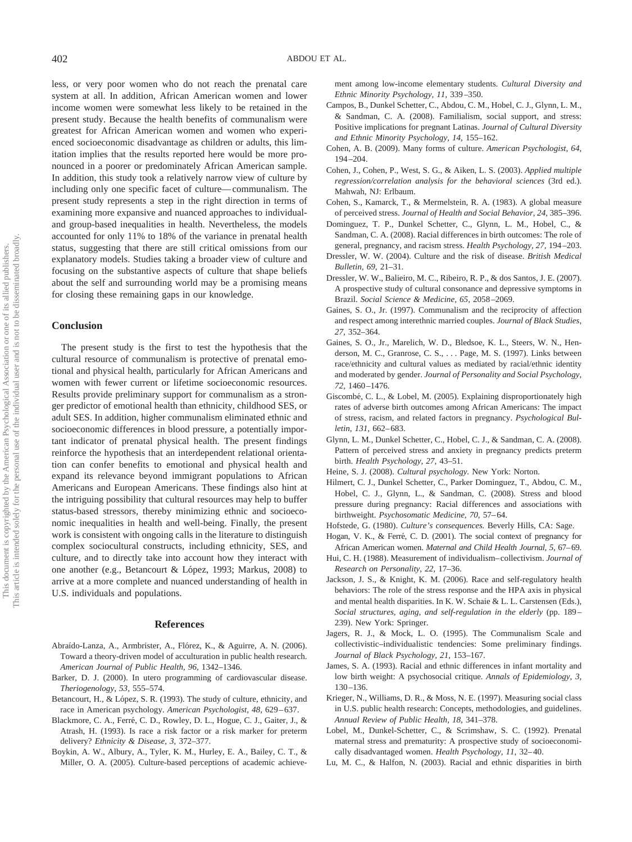less, or very poor women who do not reach the prenatal care system at all. In addition, African American women and lower income women were somewhat less likely to be retained in the present study. Because the health benefits of communalism were greatest for African American women and women who experienced socioeconomic disadvantage as children or adults, this limitation implies that the results reported here would be more pronounced in a poorer or predominately African American sample. In addition, this study took a relatively narrow view of culture by including only one specific facet of culture—communalism. The present study represents a step in the right direction in terms of examining more expansive and nuanced approaches to individualand group-based inequalities in health. Nevertheless, the models accounted for only 11% to 18% of the variance in prenatal health status, suggesting that there are still critical omissions from our explanatory models. Studies taking a broader view of culture and focusing on the substantive aspects of culture that shape beliefs about the self and surrounding world may be a promising means for closing these remaining gaps in our knowledge.

## **Conclusion**

The present study is the first to test the hypothesis that the cultural resource of communalism is protective of prenatal emotional and physical health, particularly for African Americans and women with fewer current or lifetime socioeconomic resources. Results provide preliminary support for communalism as a stronger predictor of emotional health than ethnicity, childhood SES, or adult SES. In addition, higher communalism eliminated ethnic and socioeconomic differences in blood pressure, a potentially important indicator of prenatal physical health. The present findings reinforce the hypothesis that an interdependent relational orientation can confer benefits to emotional and physical health and expand its relevance beyond immigrant populations to African Americans and European Americans. These findings also hint at the intriguing possibility that cultural resources may help to buffer status-based stressors, thereby minimizing ethnic and socioeconomic inequalities in health and well-being. Finally, the present work is consistent with ongoing calls in the literature to distinguish complex sociocultural constructs, including ethnicity, SES, and culture, and to directly take into account how they interact with one another (e.g., Betancourt & López, 1993; Markus, 2008) to arrive at a more complete and nuanced understanding of health in U.S. individuals and populations.

#### **References**

- Abraído-Lanza, A., Armbrister, A., Flórez, K., & Aguirre, A. N. (2006). Toward a theory-driven model of acculturation in public health research. *American Journal of Public Health, 96,* 1342–1346.
- Barker, D. J. (2000). In utero programming of cardiovascular disease. *Theriogenology, 53,* 555–574.
- Betancourt, H., & López, S. R. (1993). The study of culture, ethnicity, and race in American psychology. *American Psychologist, 48,* 629–637.
- Blackmore, C. A., Ferré, C. D., Rowley, D. L., Hogue, C. J., Gaiter, J., & Atrash, H. (1993). Is race a risk factor or a risk marker for preterm delivery? *Ethnicity & Disease, 3,* 372–377.
- Boykin, A. W., Albury, A., Tyler, K. M., Hurley, E. A., Bailey, C. T., & Miller, O. A. (2005). Culture-based perceptions of academic achieve-

ment among low-income elementary students. *Cultural Diversity and Ethnic Minority Psychology, 11,* 339–350.

- Campos, B., Dunkel Schetter, C., Abdou, C. M., Hobel, C. J., Glynn, L. M., & Sandman, C. A. (2008). Familialism, social support, and stress: Positive implications for pregnant Latinas. *Journal of Cultural Diversity and Ethnic Minority Psychology, 14,* 155–162.
- Cohen, A. B. (2009). Many forms of culture. *American Psychologist, 64,* 194–204.
- Cohen, J., Cohen, P., West, S. G., & Aiken, L. S. (2003). *Applied multiple regression/correlation analysis for the behavioral sciences* (3rd ed.). Mahwah, NJ: Erlbaum.
- Cohen, S., Kamarck, T., & Mermelstein, R. A. (1983). A global measure of perceived stress. *Journal of Health and Social Behavior, 24,* 385–396.
- Dominguez, T. P., Dunkel Schetter, C., Glynn, L. M., Hobel, C., & Sandman, C. A. (2008). Racial differences in birth outcomes: The role of general, pregnancy, and racism stress. *Health Psychology, 27,* 194–203.
- Dressler, W. W. (2004). Culture and the risk of disease. *British Medical Bulletin, 69,* 21–31.
- Dressler, W. W., Balieiro, M. C., Ribeiro, R. P., & dos Santos, J. E. (2007). A prospective study of cultural consonance and depressive symptoms in Brazil. *Social Science & Medicine, 65,* 2058–2069.
- Gaines, S. O., Jr. (1997). Communalism and the reciprocity of affection and respect among interethnic married couples. *Journal of Black Studies, 27,* 352–364.
- Gaines, S. O., Jr., Marelich, W. D., Bledsoe, K. L., Steers, W. N., Henderson, M. C., Granrose, C. S., . . . Page, M. S. (1997). Links between race/ethnicity and cultural values as mediated by racial/ethnic identity and moderated by gender. *Journal of Personality and Social Psychology, 72,* 1460–1476.
- Giscombé, C. L., & Lobel, M. (2005). Explaining disproportionately high rates of adverse birth outcomes among African Americans: The impact of stress, racism, and related factors in pregnancy. *Psychological Bulletin, 131,* 662–683.
- Glynn, L. M., Dunkel Schetter, C., Hobel, C. J., & Sandman, C. A. (2008). Pattern of perceived stress and anxiety in pregnancy predicts preterm birth. *Health Psychology, 27,* 43–51.
- Heine, S. J. (2008). *Cultural psychology.* New York: Norton.
- Hilmert, C. J., Dunkel Schetter, C., Parker Dominguez, T., Abdou, C. M., Hobel, C. J., Glynn, L., & Sandman, C. (2008). Stress and blood pressure during pregnancy: Racial differences and associations with birthweight. *Psychosomatic Medicine, 70,* 57–64.
- Hofstede, G. (1980). *Culture's consequences.* Beverly Hills, CA: Sage.
- Hogan, V. K., & Ferré, C. D. (2001). The social context of pregnancy for African American women. *Maternal and Child Health Journal, 5,* 67–69.
- Hui, C. H. (1988). Measurement of individualism–collectivism. *Journal of Research on Personality, 22,* 17–36.
- Jackson, J. S., & Knight, K. M. (2006). Race and self-regulatory health behaviors: The role of the stress response and the HPA axis in physical and mental health disparities. In K. W. Schaie & L. L. Carstensen (Eds.), *Social structures, aging, and self-regulation in the elderly* (pp. 189– 239). New York: Springer.
- Jagers, R. J., & Mock, L. O. (1995). The Communalism Scale and collectivistic–individualistic tendencies: Some preliminary findings. *Journal of Black Psychology, 21,* 153–167.
- James, S. A. (1993). Racial and ethnic differences in infant mortality and low birth weight: A psychosocial critique*. Annals of Epidemiology, 3,* 130–136.
- Krieger, N., Williams, D. R., & Moss, N. E. (1997). Measuring social class in U.S. public health research: Concepts, methodologies, and guidelines. *Annual Review of Public Health, 18,* 341–378.
- Lobel, M., Dunkel-Schetter, C., & Scrimshaw, S. C. (1992). Prenatal maternal stress and prematurity: A prospective study of socioeconomically disadvantaged women. *Health Psychology, 11,* 32–40.
- Lu, M. C., & Halfon, N. (2003). Racial and ethnic disparities in birth